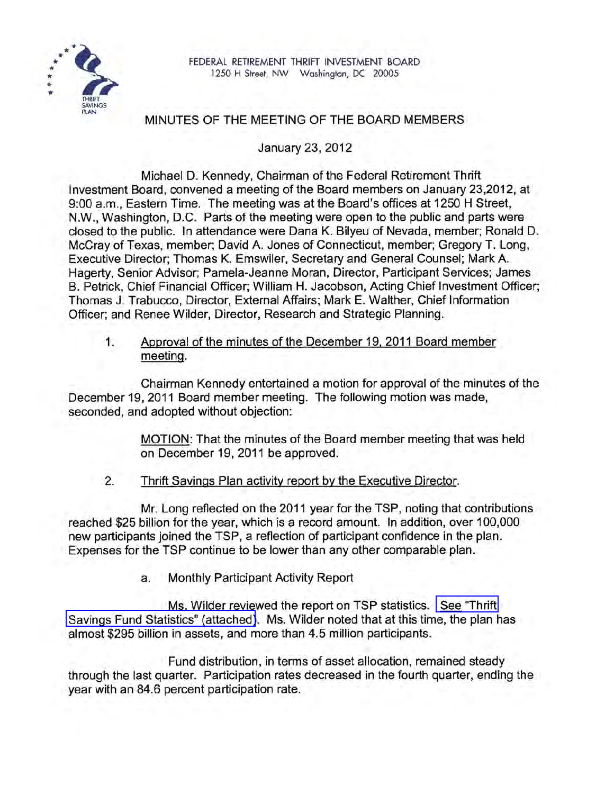

# MINUTES OF THE MEETING OF THE BOARD MEMBERS

January 23, 2012

Michael D. Kennedy, Chairman of the Federal Retirement Thrift Investment Board, convened a meeting of the Board members on January 23,2012, at 9:00 a.m., Eastern Time. The meeting was at the Board's offices at 1250 H Street, N.W., Washington, D.C. Parts of the meeting were open to the public and parts were closed to the public. In attendance were Dana K. Bilyeu of Nevada, member; Ronald D. McCray of Texas, member; David A. Jones of Connecticut, member; Gregory T. Long, Executive Director; Thomas K. Emswiler, Secretary and General Counsel; Mark A. Hagerty, Senior Advisor; Pamela-Jeanne Moran, Director, Participant Services; James B. Petrick, Chief Financial Officer; William H. Jacobson, Acting Chief Investment Officer; Thomas J. Trabucco, Director, External Affairs; Mark E. Walther, Chief Information Officer; and Renee Wilder, Director, Research and Strategic Planning.

1. Approval of the minutes of the December 19, 2011 Board member meeting.

Chairman Kennedy entertained a motion for approval of the minutes of the December 19, 2011 Board member meeting. The following motion was made, seconded, and adopted without objection:

> MOTION: That the minutes of the Board member meeting that was held on December 19, 2011 be approved.

2. Thrift Savings Plan activity report by the Executive Director.

Mr. Long reflected on the 2011 year for the TSP, noting that contributions reached \$25 billion for the year, which is a record amount. In addition, over 100,000 new participants joined the TSP, a reflection of participant confidence in the plan. Expenses for the TSP continue to be lower than any other comparable plan.

a. Monthly Participant Activity Report

Ms. Wilder reviewed the report on TSP statistics. [See "Thrift](www.frtib.gov/pdf/minutes/MM-2012Jan-Att1.pdf)  [Savings Fund Statistics" \(attached\)](www.frtib.gov/pdf/minutes/MM-2012Jan-Att1.pdf). Ms. Wilder noted that at this time, the plan has almost \$295 billion in assets, and more than 4.5 million participants.

Fund distribution, in terms of asset allocation, remained steady through the last quarter. Participation rates decreased in the fourth quarter, ending the year with an 84.6 percent participation rate.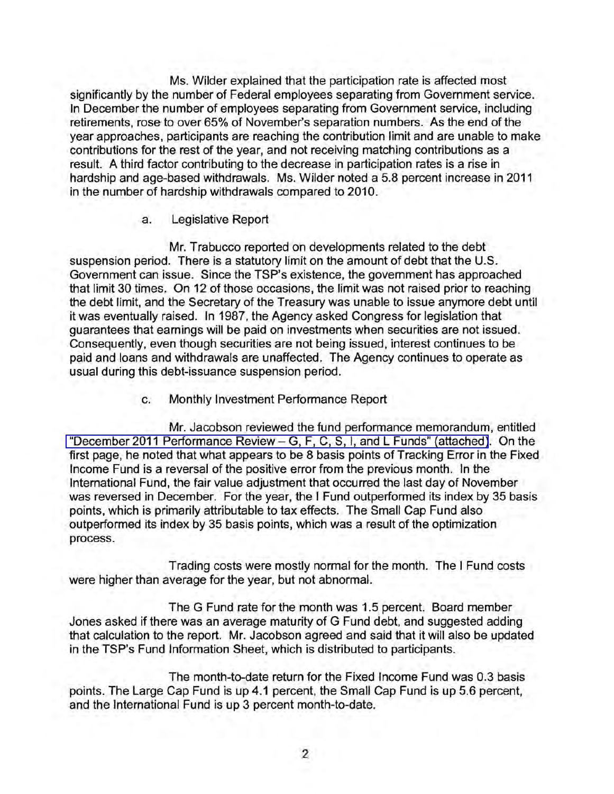Ms. Wilder explained that the participation rate is affected most significantly by the number of Federal employees separating from Government service. In December the number of employees separating from Government service, including retirements, rose to over 65% of November's separation numbers. As the end of the year approaches, participants are reaching the contribution limit and are unable to make contributions for the rest of the year, and not receiving matching contributions as a result. A third factor contributing to the decrease in participation rates is a rise in hardship and age-based withdrawals. Ms. Wilder noted a 5.8 percent increase in 2011 in the number of hardship withdrawals compared to 2010.

## a. Legislative Report

Mr. Trabucco reported on developments related to the debt suspension period. There is a statutory limit on the amount of debt that the U.S. Government can issue. Since the TSP's existence, the government has approached that limit 30 times. On 12 of those occasions, the limit was not raised prior to reaching the debt limit, and the Secretary of the Treasury was unable to issue anymore debt until it was eventually raised. In 1987, the Agency asked Congress for legislation that guarantees that earnings will be paid on investments when securities are not issued. Consequently, even though securities are not being issued, interest continues to be paid and loans and withdrawals are unaffected. The Agency continues to operate as usual during this debt-issuance suspension period.

c. Monthly Investment Performance Report

Mr. Jacobson reviewed the fund performance memorandum, entitled ["December 2011 Performance Review -](www.frtib.gov/pdf/minutes/MM-2012Jan-Att2.pdf) G, F, C, S, I, and L Funds" (attached). On the first page, he noted that what appears to be 8 basis points of Tracking Error in the Fixed Income Fund is a reversal of the positive error from the previous month. In the International Fund, the fair value adjustment that occurred the last day of November was reversed in December. For the year, the I Fund outperformed its index by 35 basis points, which is primarily attributable to tax effects. The Small Cap Fund also outperformed its index by 35 basis points, which was a result of the optimization process.

Trading costs were mostly normal for the month. The I Fund costs were higher than average for the year, but not abnormal.

The G Fund rate for the month was 1.5 percent. Board member Jones asked if there was an average maturity of G Fund debt, and suggested adding that calculation to the report. Mr. Jacobson agreed and said that it will also be updated in the TSP's Fund Information Sheet, which is distributed to participants.

The month-to-date return for the Fixed Income Fund was 0.3 basis points. The Large Cap Fund is up 4.1 percent, the Small Cap Fund is up 5.6 percent, and the International Fund is up 3 percent month-to-date.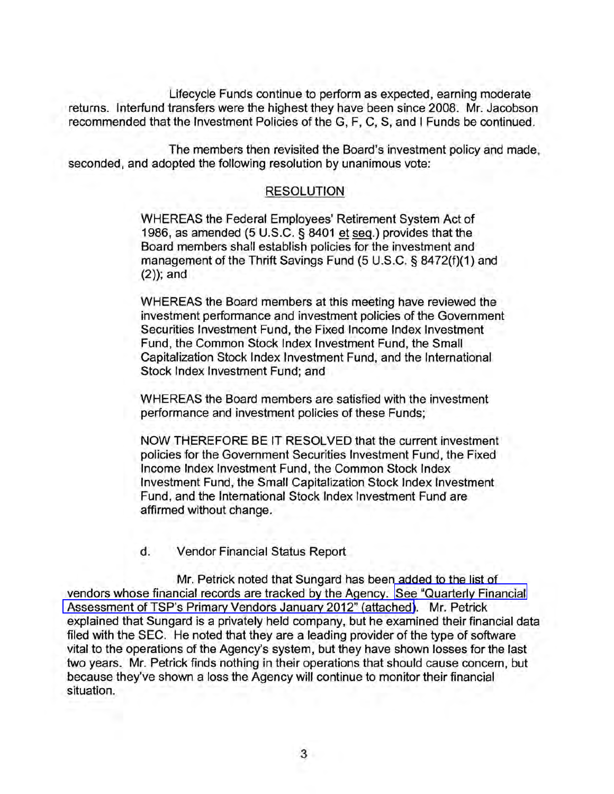Lifecycle Funds continue to perform as expected, earning moderate returns. Interfund transfers were the highest they have been since 2008. Mr. Jacobson recommended that the Investment Policies of the G, F, C, S, and I Funds be continued.

The members then revisited the Board's investment policy and made, seconded, and adopted the following resolution by unanimous vote:

#### RESOLUTION

WHEREAS the Federal Employees' Retirement System Act of 1986, as amended (5 U.S.C. § 8401 et seq.) provides that the Board members shall establish policies for the investment and management of the Thrift Savings Fund (5 U.S.C. § 8472(f)(1) and  $(2)$ ; and

WHEREAS the Board members at this meeting have reviewed the investment performance and investment policies of the Government Securities Investment Fund, the Fixed Income Index Investment Fund, the Common Stock Index Investment Fund, the Small Capitalization Stock Index Investment Fund, and the International Stock Index Investment Fund; and

WHEREAS the Board members are satisfied with the investment performance and investment policies of these Funds;

NOW THEREFORE BE IT RESOLVED that the current investment policies for the Government Securities Investment Fund, the Fixed Income Index Investment Fund, the Common Stock Index Investment Fund, the Small Capitalization Stock Index Investment Fund, and the International Stock Index Investment Fund are affirmed without change.

#### d. Vendor Financial Status Report

Mr. Petrick noted that Sungard has been added to the list of vendors whose financial records are tracked by the Agency. [See "Quarterly Financial](www.frtib.gov/pdf/minutes/MM-2012Jan-Att3.pdf)  [Assessment of TSP's Primary Vendors January 2012" \(attached\)](www.frtib.gov/pdf/minutes/MM-2012Jan-Att3.pdf). Mr. Petrick explained that Sungard is a privately held company, but he examined their financial data filed with the SEC. He noted that they are a leading provider of the type of software vital to the operations of the Agency's system, but they have shown losses for the last two years. Mr. Petrick finds nothing in their operations that should cause concem, but because they've shown a loss the Agency will continue to monitor their financial situation.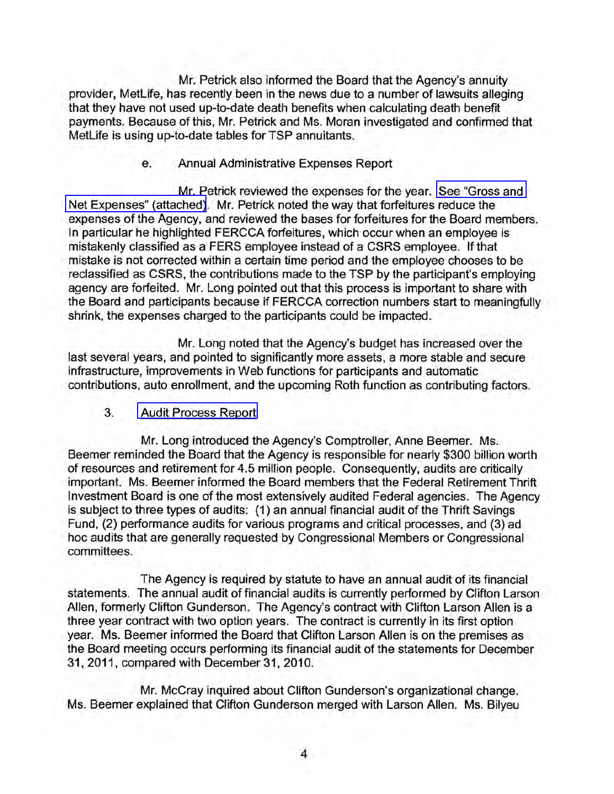Mr. Petrick also informed the Board that the Agency's annuity provider, MetLife, has recently been in the news due to a number of lawsuits alleging that they have not used up-to-date death benefits when calculating death benefit payments. Because of this, Mr. Petrick and Ms. Moran investigated and confirmed that MetLife is using up-to-date tables for TSP annuitants.

#### e. Annual Administrative Expenses Report

Mr. Petrick reviewed the expenses for the year. [See "Gross and](www.frtib.gov/pdf/minutes/MM-2012Jan-Att4.pdf)  [Net Expenses" \(attached\).](www.frtib.gov/pdf/minutes/MM-2012Jan-Att4.pdf) Mr. Petrick noted the way that forfeitures reduce the expenses of the Agency, and reviewed the bases for forfeitures for the Board members. In particular he highlighted FERCCA forfeitures, which occur when an employee is mistakenly classified as a FERS employee instead of a CSRS employee. If that mistake is not corrected within a certain time period and the employee chooses to be reclassified as CSRS, the contributions made to the TSP by the participant's employing agency are forfeited. Mr. Long pointed out that this process is important to share with the Board and participants because if FERCCA correction numbers start to meaningfully shrink, the expenses charged to the participants could be impacted.

Mr. Long noted that the Agency's budget has increased over the last several years, and pointed to significantly more assets, a more stable and secure infrastructure, improvements in Web functions for participants and automatic contributions, auto enrollment, and the upcoming Roth function as contributing factors.

## 3. [Audit Process Report](www.frtib.gov/pdf/minutes/MM-2012Jan-Att5.pdf)

Mr. Long introduced the Agency's Comptroller, Anne Beemer. Ms. Beemer reminded the Board that the Agency is responsible for nearly \$300 billion worth of resources and retirement for 4.5 million people. Consequently, audits are critically important. Ms. Beemer informed the Board members that the Federal Retirement Thrift Investment Board is one of the most extensively audited Federal agencies. The Agency is subject to three types of audits: (1) an annual financial audit of the Thrift Savings Fund, (2) performance audits for various programs and critical processes, and (3) ad hoc audits that are generally requested by Congressional Members or Congressional committees.

The Agency is required by statute to have an annual audit of its financial statements. The annual audit of financial audits is currently performed by Clifton Larson Allen, formerly Clifton Gunderson. The Agency's contract with Clifton Larson Allen is a three year contract with two option years. The contract is currently in its first option year. Ms. Beemer informed the Board that Clifton Larson Allen is on the premises as the Board meeting occurs performing its financial audit of the statements for December 31,2011, compared with December 31, 2010.

Mr. McCray inquired about Clifton Gunderson's organizational change. Ms. Beemer explained that Clifton Gunderson merged with Larson Allen. Ms. Bilyeu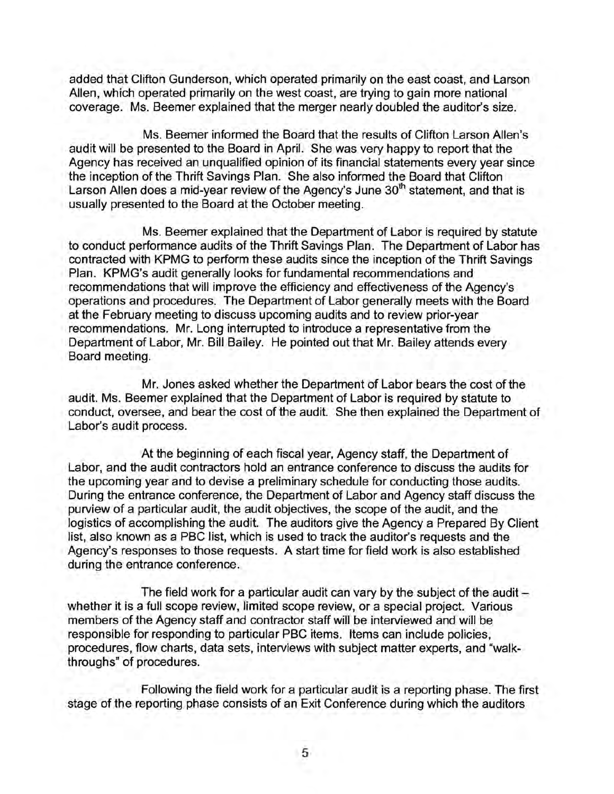added that Clifton Gunderson, which operated primarily on the east coast, and Larson Allen, which operated primarily on the west coast, are trying to gain more national coverage. Ms. Beemer explained that the merger nearly doubled the auditor's size.

Ms. Beemer informed the Board that the results of Clifton Larson Allen's audit will be presented to the Board in April. She was very happy to report that the Agency has received an unqualified opinion of its financial statements every year since the inception of the Thrift Savings Plan. She also informed the Board that Clifton Larson Allen does a mid-year review of the Agency's June  $30<sup>th</sup>$  statement, and that is usually presented to the Board at the October meeting.

Ms. Beemer explained that the Department of Labor is required by statute to conduct performahce audits of the Thrift Savings Plan. The Department of Labor has contracted with KPMG to perform these audits since the inception of the Thrift Savings Plan. KPMG's audit generally looks for fundamental recommendations and recommendations that will improve the efficiency and effectiveness of the Agency's operations and procedures. The Department of Labor generally meets with the Board at the February meeting to discuss upcoming audits and to review prior-year recommendations. Mr. Long interrupted to introduce a representative from the Department of Labor, Mr. Bill Bailey. He pointed out that Mr. Bailey attends every Board meeting.

Mr. Jones asked whether the Department of Labor bears the cost of the audit. Ms. Beemer explained that the Department of Labor is required by statute to conduct, oversee, and bear the cost of the audit. She then explained the Department of Labor's audit process.

At the beginning of each fiscal year, Agency staff, the Department of Labor, and the audit contractors hold an entrance conference to discuss the audits for the upcoming year and to devise a preliminary schedule for conducting those audits. During the entrance conference, the Department of Labor and Agency staff discuss the purview of a particular audit, the audit objectives, the scope of the audit, and the logistics of accomplishing the audit. The auditors give the Agency a Prepared By Client list, also known as a PBC list, which is used to track the auditor's requests and the Agency's responses to those requests. A start time for field work is also established during the entrance conference.

The field work for a particular audit can vary by the subject of the audit  $$ whether it is a full scope review, limited scope review, or a special project. Various members of the Agency staff and contractor staff will be interviewed and will be responsible for responding to particular PBC items. Items can include policies, procedures, flow charts, data sets, interviews with subject matter experts, and "walkthroughs" of procedures.

. Following the field work for a particular audit is a reporting phase. The first stage of the reporting phase consists of an Exit Conference during which the auditors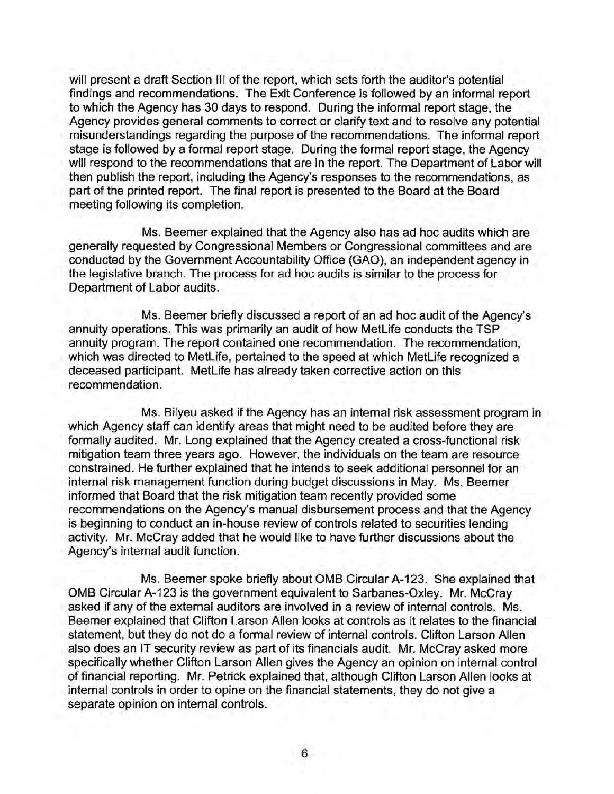will present a draft Section III of the report, which sets forth the auditor's potential findings and recommendations. The Exit Conference is followed by an informal report to which the Agency has 30 days to respond. During the informal report stage, the Agency provides general comments to correct or clarify text and to resolve any potential misunderstandings regarding the purpose of the recommendations. The informal report stage is followed by a formal report stage. During the formal report stage, the Agency will respond to the recommendations that are in the report. The Department of Labor will then publish the report, including the Agency's responses to the recommendations, as part of the printed report. The final report is presented to the Board at the Board meeting following its completion.

Ms. Beemer explained that the Agency also has ad hoc audits which are generally requested by Congressional Members or Congressional committees and are conducted by the Government Accountability Office (GAO), an independent agency in the legislative branch. The process for ad hoc audits is similar to the process for Department of Labor audits.

Ms. Beemer briefly discussed a report of an ad hoc audit of the Agency's annuity operations. This was primarily an audit of how MetLife conducts the TSP annuity program. The report contained one recommendation. The recommendation, which was directed to MetLife, pertained to the speed at which MetLife recognized a deceased participant. MetLife has already taken corrective action on this recommendation.

Ms. Bilyeu asked if the Agency has an internal risk assessment program in which Agency staff can identify areas that might need to be audited before they are formally audited. Mr. Long explained that the Agency created a cross-functional risk mitigation team three years ago. However, the individuals on the team are resource constrained. He further explained that he intends to seek additional personnel for an internal risk management function during budget discussions in May. Ms. Beemer informed that Board that the risk mitigation team recently provided some recommendations on the Agency's manual disbursement process and that the Agency is beginning to conduct an in-house review of controls related to securities lending activity. Mr. McCray added that he would like to have further discussions about the Agency's internal audit function.

Ms. Beemer spoke briefly about OMB Circular A-123. She explained that OMB Circular A-123 is the government equivalent to Sarbanes-Oxley. Mr. McCray asked if any of the external auditors are involved in a review of internal controls. Ms. Beemer explained that Clifton Larson Allen looks at controls as it relates to the financial statement, but they do not do a formal review of internal controls. Clifton Larson Allen also does an IT security review as part of its financials audit. Mr. McCray asked more specifically whether Clifton Larson Allen gives the Agency an opinion on internal control of financial reporting. Mr. Petrick explained that, although Clifton Larson Allen looks at internal controls in order to opine on the financial statements, they do not give a separate opinion on internal controls.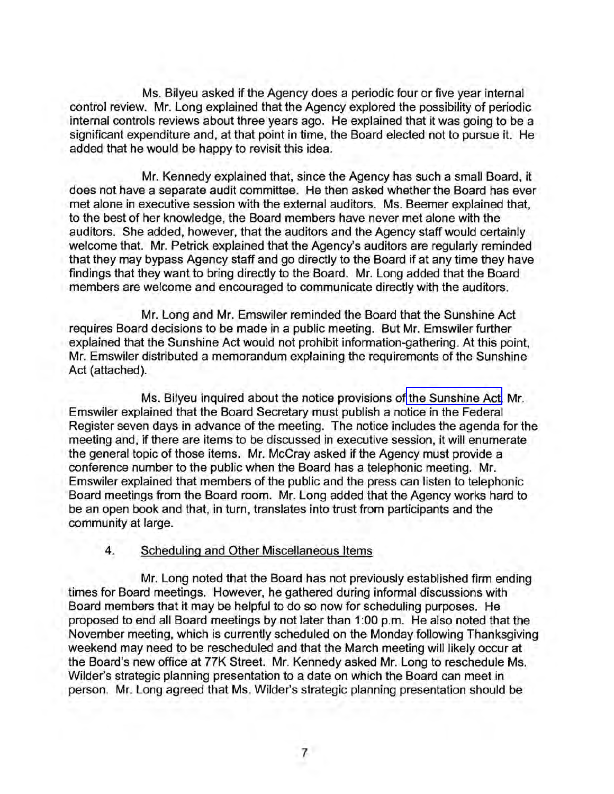Ms. Bilyeu asked if the Agency does a periodic four or five year internal control review. Mr. Long explained that the Agency explored the possibility of periodic internal controls reviews about three years ago. He explained that it was going to be a significant expenditure and, at that point in time, the Board elected not to pursue it. He added that he would be happy to revisit this idea.

Mr. Kennedy explained that, since the Agency has such a small Board, it does not have a separate audit committee. He then asked whether the Board has ever met alone in executive session with the external auditors. Ms. Beemer explained that, to the best of her knowledge, the Board members have never met alone with the auditors. She added, however, that the auditors and the Agency staff would certainly welcome that. Mr. Petrick explained that the Agency's auditors are regularly reminded that they may bypass Agency staff and go directly to the Board if at any time they have findings that they want to bring directly to the Board. Mr. Long added that the Board members are welcome and encouraged to communicate directly with the auditors.

Mr. Long and Mr. Emswiler reminded the Board that the Sunshine Act requires Board decisions to be made in a public meeting. But Mr. Emswiler further explained that the Sunshine Act would not prohibit information-gathering. At this point, Mr. Emswiler distributed a memorandum explaining the requirements of the Sunshine Act (attached).

Ms. Bilyeu inquired about the notice provisions of [the Sunshine Act.](www.frtib.gov/pdf/minutes/MM-2012Jan-Att6.pdf) Mr. Emswiler explained that the Board Secretary must publish a notice in the Federal Register seven days in advance of the meeting. The notice includes the agenda for the meeting and, if there are items to be discussed in executive session, it will enumerate the general topic of those items. Mr. McCray asked if the Agency must provide a conference number to the public when the Board has a telephonic meeting. Mr. Emswiler explained that members of the public and the press can listen to telephonic Board meetings from the Board room. Mr. Long added that the Agency works hard to be an open book and that, in turn, translates into trust from participants and the community at large.

## 4. Scheduling and Other Miscellaneous Items

Mr. Long noted that the Board has not previously established firm ending times for Board meetings. However, he gathered during informal discussions with Board members that it may be helpful to do so now for scheduling purposes. He proposed to end all Board meetings by not later than 1 :00 p.m. He also noted that the November meeting, which is currently scheduled on the Monday following Thanksgiving weekend may need to be rescheduled and that the March meeting will likely occur at the Board's new office at 77K Street. Mr. Kennedy asked Mr. Long to reschedule Ms. Wilder's strategic planning presentation to a date on which the Board can meet in person. Mr. Long agreed that Ms. Wilder's strategic planning presentation should be